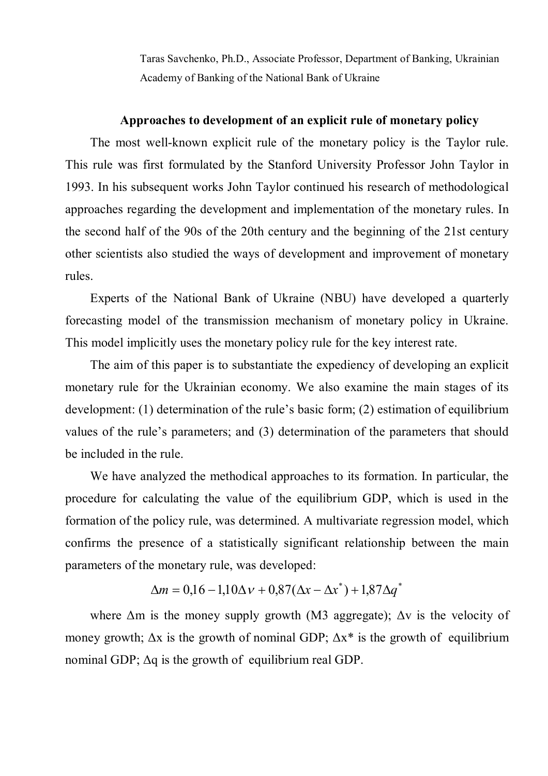Taras Savchenko, Ph.D., Associate Professor, Department of Banking, Ukrainian Academy of Banking of the National Bank of Ukraine

## **Approaches to development of an explicit rule of monetary policy**

The most well-known explicit rule of the monetary policy is the Taylor rule. This rule was first formulated by the Stanford University Professor John Taylor in 1993. In his subsequent works John Taylor continued his research of methodological approaches regarding the development and implementation of the monetary rules. In the second half of the 90s of the 20th century and the beginning of the 21st century other scientists also studied the ways of development and improvement of monetary rules.

Experts of the National Bank of Ukraine (NBU) have developed a quarterly forecasting model of the transmission mechanism of monetary policy in Ukraine. This model implicitly uses the monetary policy rule for the key interest rate.

The aim of this paper is to substantiate the expediency of developing an explicit monetary rule for the Ukrainian economy. We also examine the main stages of its development: (1) determination of the rule's basic form; (2) estimation of equilibrium values of the rule's parameters; and (3) determination of the parameters that should be included in the rule.

We have analyzed the methodical approaches to its formation. In particular, the procedure for calculating the value of the equilibrium GDP, which is used in the formation of the policy rule, was determined. A multivariate regression model, which confirms the presence of a statistically significant relationship between the main parameters of the monetary rule, was developed:

$$
\Delta m = 0.16 - 1.10 \Delta v + 0.87(\Delta x - \Delta x^*) + 1.87 \Delta q^*
$$

where  $\Delta m$  is the money supply growth (M3 aggregate);  $\Delta v$  is the velocity of money growth;  $\Delta x$  is the growth of nominal GDP;  $\Delta x^*$  is the growth of equilibrium nominal GDP;  $\Delta q$  is the growth of equilibrium real GDP.